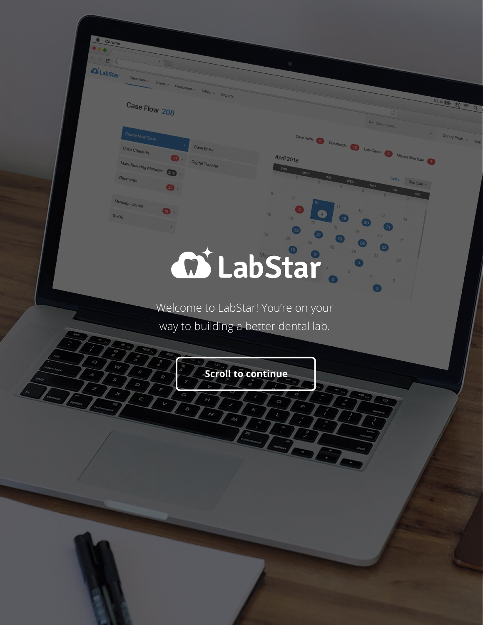## Case Flow 208

Manufacturing Manager 202

 $\bullet$ 

 $\bullet$ .

Case Entri

Digital Transf

 $Case Flow$ 

Create New Case

Case Check-In

Shipments

Message Center

 $T_{O-D_O}$ 

 $C\sqrt{Q}$  $\alpha$  LabStar

# **M** LabStar

April 2018

Downloads 12 Late Cases & Missed Ship Date

 $\bullet$ 

Welcome to LabStar! You're on your way to building a better dental lab.

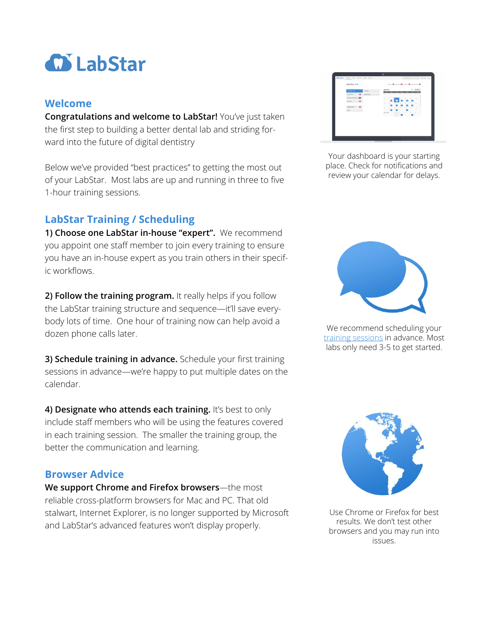

#### **Welcome**

**Congratulations and welcome to LabStar!** You've just taken the first step to building a better dental lab and striding forward into the future of digital dentistry

Below we've provided "best practices" to getting the most out of your LabStar. Most labs are up and running in three to five 1-hour training sessions.

### **LabStar Training / Scheduling**

**1) Choose one LabStar in-house "expert".** We recommend you appoint one staff member to join every training to ensure you have an in-house expert as you train others in their specific workflows.

**2) Follow the training program.** It really helps if you follow the LabStar training structure and sequence—it'll save everybody lots of time. One hour of training now can help avoid a dozen phone calls later.

**3) Schedule training in advance.** Schedule your first training sessions in advance—we're happy to put multiple dates on the calendar.

**4) Designate who attends each training.** It's best to only include staff members who will be using the features covered in each training session. The smaller the training group, the better the communication and learning.

#### **Browser Advice**

**We support Chrome and Firefox browsers**—the most reliable cross-platform browsers for Mac and PC. That old stalwart, Internet Explorer, is no longer supported by Microsoft and LabStar's advanced features won't display properly.

| <b>CONTRACTOR</b><br>Case Flow 208 |                |                     | terms O tenn O televido methods O |                   |                |                                  |                |                      |                |  |
|------------------------------------|----------------|---------------------|-----------------------------------|-------------------|----------------|----------------------------------|----------------|----------------------|----------------|--|
| Count has Com-                     |                | Country.            | April 2018                        |                   |                |                                  |                | <b>Side</b>          | Daniel -       |  |
| ComOwane:                          |                | (Ch.) Stand handler |                                   | −                 | -              | −                                | ▄              |                      | ╸              |  |
| <b>Mexicanoly Here-CO</b>          |                |                     | $\sim$                            |                   |                |                                  | $\sim$         | 2012/08/07           |                |  |
| <b>Shirleen</b>                    | $\sim$         |                     | ×                                 |                   |                |                                  |                |                      |                |  |
|                                    |                |                     |                                   | $\rightarrow$     | ≖<br>m         | $\mathcal{L}_{\mathcal{A}}$<br>e | ٠<br>c         | <b>SOLUTION</b><br>Θ | $\mathbb{R}$   |  |
| Mount Contr                        | $\blacksquare$ |                     | m.                                | <b>STATISTICS</b> | <b>SECTION</b> | $\sim$                           | $\overline{1}$ | ALC: Y               | $\sim$         |  |
| $3-5n$                             | ×              |                     | May 2018                          |                   | o<br>第四次次第二十六  |                                  | $\sim$         |                      | <b>COMPANY</b> |  |
|                                    |                |                     | 2010/07/18                        |                   | <b>SERIE</b>   | ۰                                |                | ۰                    |                |  |
|                                    |                |                     |                                   |                   |                |                                  |                |                      |                |  |

Your dashboard is your starting place. Check for notifications and review your calendar for delays.



We recommend scheduling your [training sessions](https://app.hubspot.com/meetings/jeff134/labstar-training) in advance. Most labs only need 3-5 to get started.



Use Chrome or Firefox for best results. We don't test other browsers and you may run into issues.